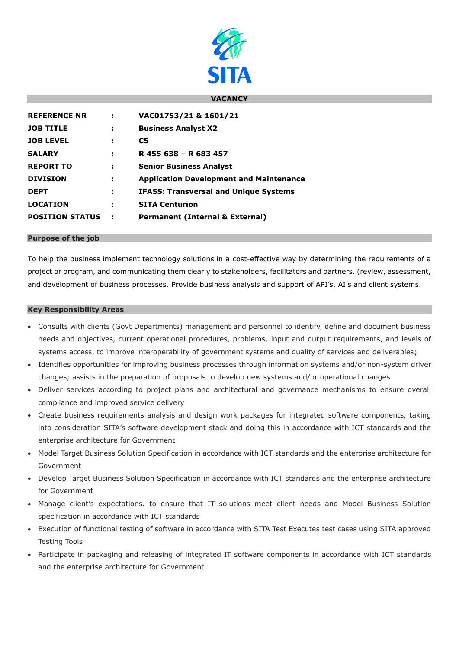

## **VACANCY**

| <b>REFERENCE NR</b>    | ÷    | VAC01753/21 & 1601/21                          |
|------------------------|------|------------------------------------------------|
| <b>JOB TITLE</b>       | н    | <b>Business Analyst X2</b>                     |
| <b>JOB LEVEL</b>       | ÷    | C5                                             |
| <b>SALARY</b>          | э    | R 455 638 - R 683 457                          |
| <b>REPORT TO</b>       | ÷    | <b>Senior Business Analyst</b>                 |
| <b>DIVISION</b>        | ÷    | <b>Application Development and Maintenance</b> |
| <b>DEPT</b>            | н    | <b>IFASS: Transversal and Unique Systems</b>   |
| <b>LOCATION</b>        | н    | <b>SITA Centurion</b>                          |
| <b>POSITION STATUS</b> | - 10 | <b>Permanent (Internal &amp; External)</b>     |

### **Purpose of the job**

To help the business implement technology solutions in a cost-effective way by determining the requirements of a project or program, and communicating them clearly to stakeholders, facilitators and partners. (review, assessment, and development of business processes. Provide business analysis and support of API's, AI's and client systems.

#### **Key Responsibility Areas**

- Consults with clients (Govt Departments) management and personnel to identify, define and document business needs and objectives, current operational procedures, problems, input and output requirements, and levels of systems access. to improve interoperability of government systems and quality of services and deliverables;
- Identifies opportunities for improving business processes through information systems and/or non-system driver changes; assists in the preparation of proposals to develop new systems and/or operational changes
- Deliver services according to project plans and architectural and governance mechanisms to ensure overall compliance and improved service delivery
- Create business requirements analysis and design work packages for integrated software components, taking into consideration SITA's software development stack and doing this in accordance with ICT standards and the enterprise architecture for Government
- Model Target Business Solution Specification in accordance with ICT standards and the enterprise architecture for Government
- Develop Target Business Solution Specification in accordance with ICT standards and the enterprise architecture for Government
- Manage client's expectations. to ensure that IT solutions meet client needs and Model Business Solution specification in accordance with ICT standards
- Execution of functional testing of software in accordance with SITA Test Executes test cases using SITA approved Testing Tools
- Participate in packaging and releasing of integrated IT software components in accordance with ICT standards and the enterprise architecture for Government.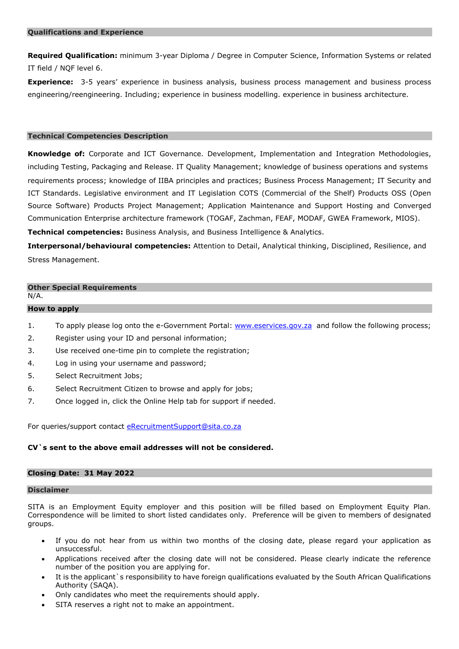**Required Qualification:** minimum 3-year Diploma / Degree in Computer Science, Information Systems or related IT field / NQF level 6.

**Experience:** 3-5 years' experience in business analysis, business process management and business process engineering/reengineering. Including; experience in business modelling. experience in business architecture.

### **Technical Competencies Description**

**Knowledge of:** Corporate and ICT Governance. Development, Implementation and Integration Methodologies, including Testing, Packaging and Release. IT Quality Management; knowledge of business operations and systems requirements process; knowledge of IIBA principles and practices; Business Process Management; IT Security and ICT Standards. Legislative environment and IT Legislation COTS (Commercial of the Shelf) Products OSS (Open Source Software) Products Project Management; Application Maintenance and Support Hosting and Converged Communication Enterprise architecture framework (TOGAF, Zachman, FEAF, MODAF, GWEA Framework, MIOS).

**Technical competencies:** Business Analysis, and Business Intelligence & Analytics.

**Interpersonal/behavioural competencies:** Attention to Detail, Analytical thinking, Disciplined, Resilience, and Stress Management.

# **Other Special Requirements**

N/A.

## **How to apply**

- 1. To apply please log onto the e-Government Portal: [www.eservices.gov.za](http://www.eservices.gov.za/) and follow the following process;
- 2. Register using your ID and personal information;
- 3. Use received one-time pin to complete the registration;
- 4. Log in using your username and password;
- 5. Select Recruitment Jobs;
- 6. Select Recruitment Citizen to browse and apply for jobs;
- 7. Once logged in, click the Online Help tab for support if needed.

For queries/support contact [eRecruitmentSupport@sita.co.za](mailto:eRecruitmentSupport@sita.co.za)

## **CV`s sent to the above email addresses will not be considered.**

### **Closing Date: 31 May 2022**

## **Disclaimer**

SITA is an Employment Equity employer and this position will be filled based on Employment Equity Plan. Correspondence will be limited to short listed candidates only. Preference will be given to members of designated groups.

- If you do not hear from us within two months of the closing date, please regard your application as unsuccessful.
- Applications received after the closing date will not be considered. Please clearly indicate the reference number of the position you are applying for.
- It is the applicant`s responsibility to have foreign qualifications evaluated by the South African Qualifications Authority (SAQA).
- Only candidates who meet the requirements should apply.
- SITA reserves a right not to make an appointment.